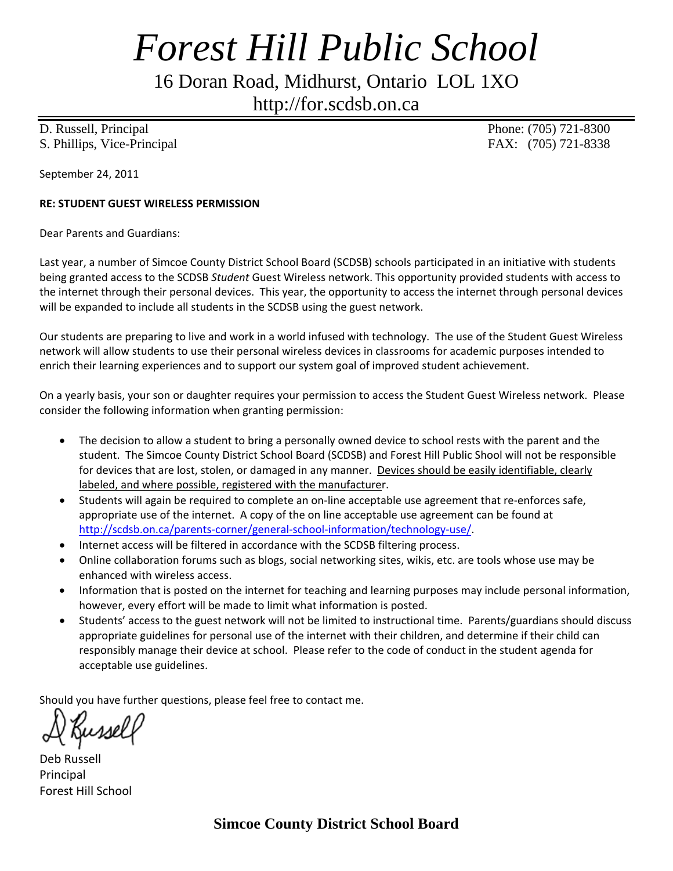## *Forest Hill Public School*

16 Doran Road, Midhurst, Ontario LOL 1XO

http://for.scdsb.on.ca

D. Russell, Principal Phone: (705) 721-8300 S. Phillips, Vice-Principal FAX: (705) 721-8338

September 24, 2011

## **RE: STUDENT GUEST WIRELESS PERMISSION**

Dear Parents and Guardians:

Last year, a number of Simcoe County District School Board (SCDSB) schools participated in an initiative with students being granted access to the SCDSB *Student* Guest Wireless network. This opportunity provided students with access to the internet through their personal devices. This year, the opportunity to access the internet through personal devices will be expanded to include all students in the SCDSB using the guest network.

Our students are preparing to live and work in a world infused with technology. The use of the Student Guest Wireless network will allow students to use their personal wireless devices in classrooms for academic purposes intended to enrich their learning experiences and to support our system goal of improved student achievement.

On a yearly basis, your son or daughter requires your permission to access the Student Guest Wireless network. Please consider the following information when granting permission:

- The decision to allow a student to bring a personally owned device to school rests with the parent and the student. The Simcoe County District School Board (SCDSB) and Forest Hill Public Shool will not be responsible for devices that are lost, stolen, or damaged in any manner. Devices should be easily identifiable, clearly labeled, and where possible, registered with the manufacturer.
- Students will again be required to complete an on-line acceptable use agreement that re-enforces safe, appropriate use of the internet. A copy of the on line acceptable use agreement can be found at http://scdsb.on.ca/parents-corner/general-school-information/technology-use/.
- Internet access will be filtered in accordance with the SCDSB filtering process.
- Online collaboration forums such as blogs, social networking sites, wikis, etc. are tools whose use may be enhanced with wireless access.
- Information that is posted on the internet for teaching and learning purposes may include personal information, however, every effort will be made to limit what information is posted.
- Students' access to the guest network will not be limited to instructional time. Parents/guardians should discuss appropriate guidelines for personal use of the internet with their children, and determine if their child can responsibly manage their device at school. Please refer to the code of conduct in the student agenda for acceptable use guidelines.

Should you have further questions, please feel free to contact me.

Deb Russell Principal Forest Hill School

**Simcoe County District School Board**